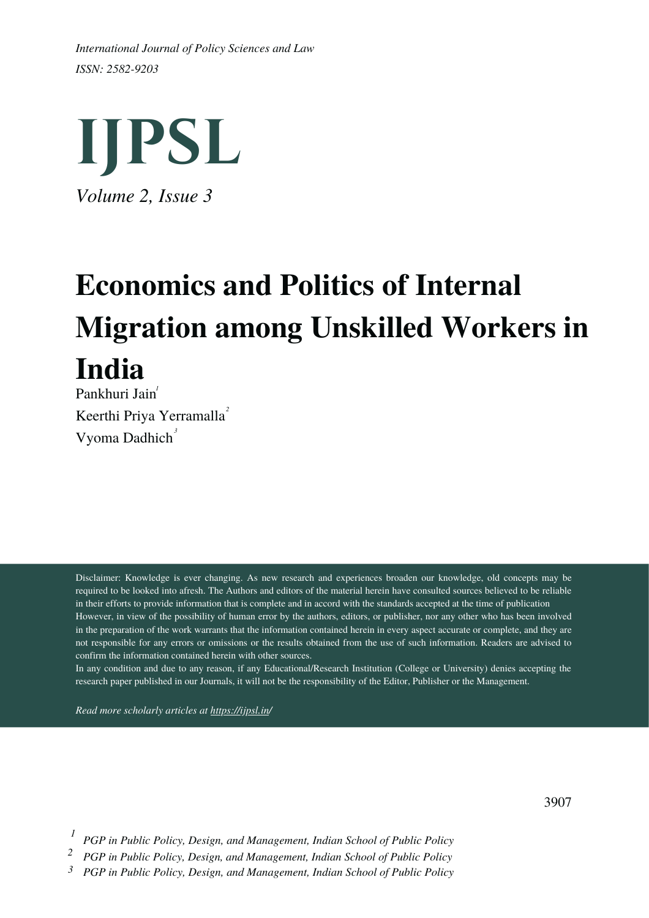*ISSN: 2582-9203 International Journal of Policy Sciences and Law*



# **Economics and Politics of Internal Migration among Unskilled Workers in India** Pankhuri Jain *1*

Keerthi Priya Yerramalla *2* Vyoma Dadhich *3*

Disclaimer: Knowledge is ever changing. As new research and experiences broaden our knowledge, old concepts may be required to be looked into afresh. The Authors and editors of the material herein have consulted sources believed to be reliable in their efforts to provide information that is complete and in accord with the standards accepted at the time of publication However, in view of the possibility of human error by the authors, editors, or publisher, nor any other who has been involved in the preparation of the work warrants that the information contained herein in every aspect accurate or complete, and they are not responsible for any errors or omissions or the results obtained from the use of such information. Readers are advised to confirm the information contained herein with other sources.

In any condition and due to any reason, if any Educational/Research Institution (College or University) denies accepting the research paper published in our Journals, it will not be the responsibility of the Editor, Publisher or the Management.

*Read more scholarly articles at <https://ijpsl.in/>*

3907

*PGP in Public Policy, Design, and Management, Indian School of Public Policy 1*

*PGP in Public Policy, Design, and Management, Indian School of Public Policy 2*

*3 PGP in Public Policy, Design, and Management, Indian School of Public Policy*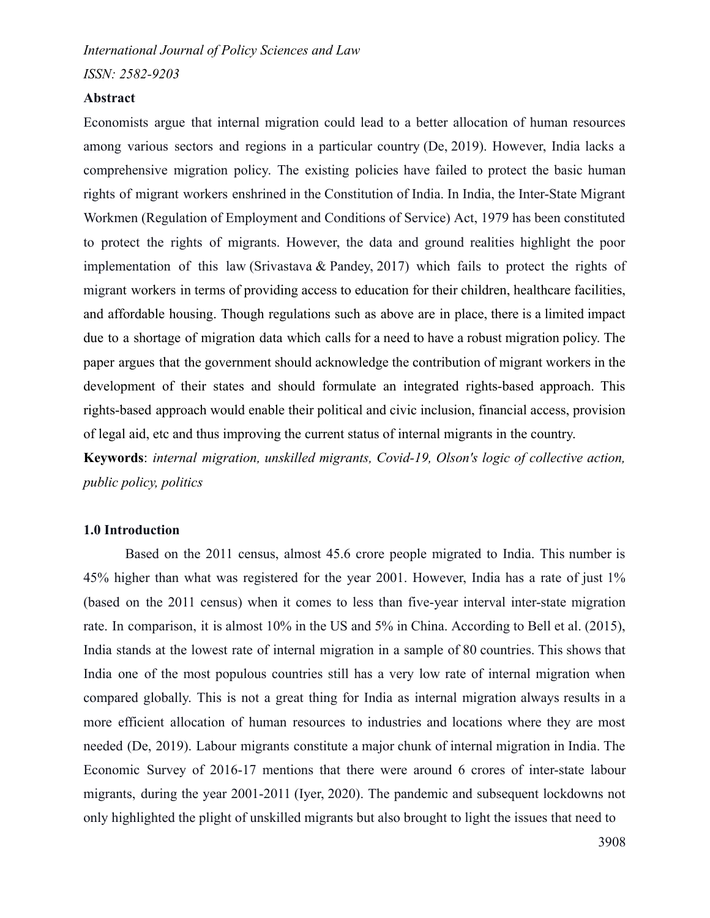*ISSN: 2582-9203*

## **Abstract**

Economists argue that internal migration could lead to a better allocation of human resources among various sectors and regions in a particular country (De, 2019). However, India lacks a comprehensive migration policy. The existing policies have failed to protect the basic human rights of migrant workers enshrined in the Constitution of India. In India, the Inter-State Migrant Workmen (Regulation of Employment and Conditions of Service) Act, 1979 has been constituted to protect the rights of migrants. However, the data and ground realities highlight the poor implementation of this law (Srivastava & Pandey, 2017) which fails to protect the rights of migrant workers in terms of providing access to education for their children, healthcare facilities, and affordable housing. Though regulations such as above are in place, there is a limited impact due to a shortage of migration data which calls for a need to have a robust migration policy. The paper argues that the government should acknowledge the contribution of migrant workers in the development of their states and should formulate an integrated rights-based approach. This rights-based approach would enable their political and civic inclusion, financial access, provision of legal aid, etc and thus improving the current status of internal migrants in the country.

**Keywords**: *internal migration, unskilled migrants, Covid-19, Olson's logic of collective action, public policy, politics*

# **1.0 Introduction**

Based on the 2011 census, almost 45.6 crore people migrated to India. This number is 45% higher than what was registered for the year 2001. However, India has a rate of just 1% (based on the 2011 census) when it comes to less than five-year interval inter-state migration rate. In comparison, it is almost 10% in the US and 5% in China. According to Bell et al. (2015), India stands at the lowest rate of internal migration in a sample of 80 countries. This shows that India one of the most populous countries still has a very low rate of internal migration when compared globally. This is not a great thing for India as internal migration always results in a more efficient allocation of human resources to industries and locations where they are most needed (De, 2019). Labour migrants constitute a major chunk of internal migration in India. The Economic Survey of 2016-17 mentions that there were around 6 crores of inter-state labour migrants, during the year 2001-2011 (Iyer, 2020). The pandemic and subsequent lockdowns not only highlighted the plight of unskilled migrants but also brought to light the issues that need to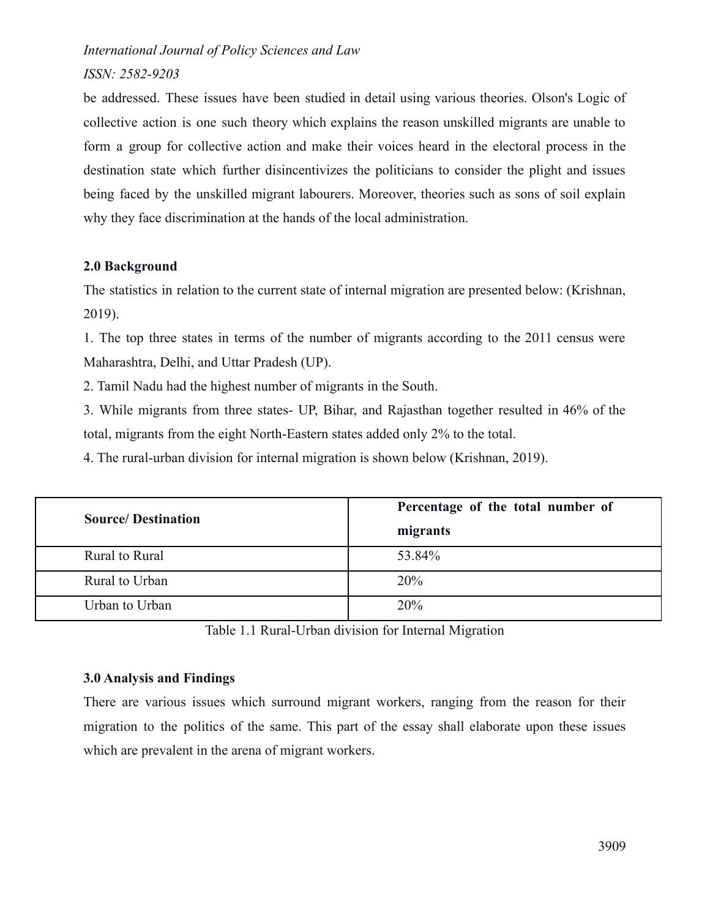# *ISSN: 2582-9203*

be addressed. These issues have been studied in detail using various theories. Olson's Logic of collective action is one such theory which explains the reason unskilled migrants are unable to form a group for collective action and make their voices heard in the electoral process in the destination state which further disincentivizes the politicians to consider the plight and issues being faced by the unskilled migrant labourers. Moreover, theories such as sons of soil explain why they face discrimination at the hands of the local administration.

# **2.0 Background**

The statistics in relation to the current state of internal migration are presented below: (Krishnan, 2019).

1. The top three states in terms of the number of migrants according to the 2011 census were Maharashtra, Delhi, and Uttar Pradesh (UP).

2. Tamil Nadu had the highest number of migrants in the South.

3. While migrants from three states- UP, Bihar, and Rajasthan together resulted in 46% of the total, migrants from the eight North-Eastern states added only 2% to the total.

4. The rural-urban division for internal migration is shown below (Krishnan, 2019).

| <b>Source/Destination</b> | Percentage of the total number of |
|---------------------------|-----------------------------------|
|                           | migrants                          |
| Rural to Rural            | 53.84%                            |
| Rural to Urban            | 20%                               |
| Urban to Urban            | 20%                               |

Table 1.1 Rural-Urban division for Internal Migration

# **3.0 Analysis and Findings**

There are various issues which surround migrant workers, ranging from the reason for their migration to the politics of the same. This part of the essay shall elaborate upon these issues which are prevalent in the arena of migrant workers.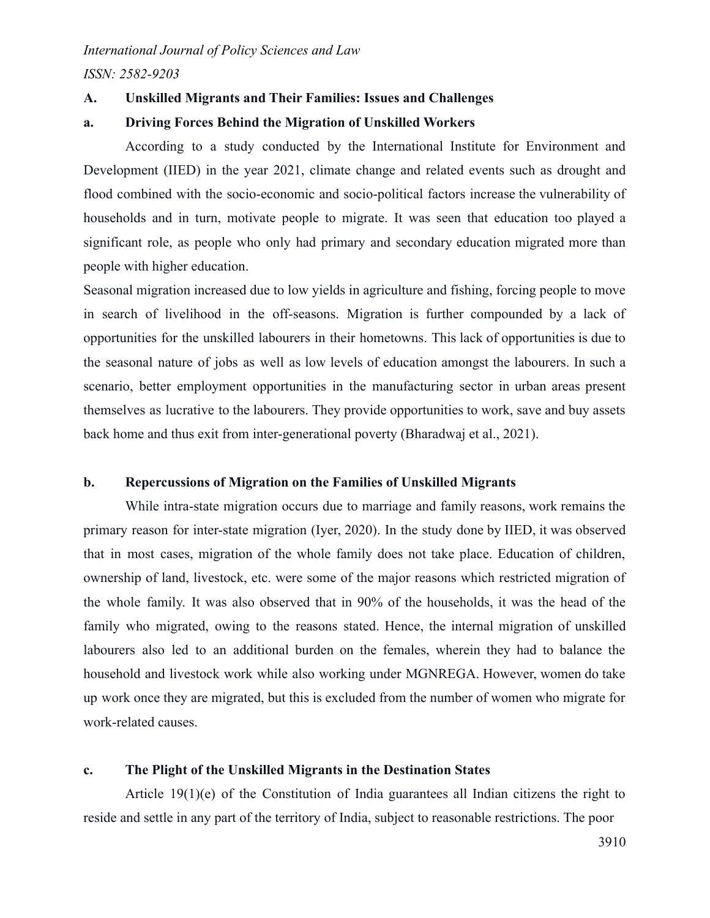*ISSN: 2582-9203*

# **A. Unskilled Migrants and Their Families: Issues and Challenges**

## **a. Driving Forces Behind the Migration of Unskilled Workers**

According to a study conducted by the International Institute for Environment and Development (IIED) in the year 2021, climate change and related events such as drought and flood combined with the socio-economic and socio-political factors increase the vulnerability of households and in turn, motivate people to migrate. It was seen that education too played a significant role, as people who only had primary and secondary education migrated more than people with higher education.

Seasonal migration increased due to low yields in agriculture and fishing, forcing people to move in search of livelihood in the off-seasons. Migration is further compounded by a lack of opportunities for the unskilled labourers in their hometowns. This lack of opportunities is due to the seasonal nature of jobs as well as low levels of education amongst the labourers. In such a scenario, better employment opportunities in the manufacturing sector in urban areas present themselves as lucrative to the labourers. They provide opportunities to work, save and buy assets back home and thus exit from inter-generational poverty (Bharadwaj et al., 2021).

## **b. Repercussions of Migration on the Families of Unskilled Migrants**

While intra-state migration occurs due to marriage and family reasons, work remains the primary reason for inter-state migration (Iyer, 2020). In the study done by IIED, it was observed that in most cases, migration of the whole family does not take place. Education of children, ownership of land, livestock, etc. were some of the major reasons which restricted migration of the whole family. It was also observed that in 90% of the households, it was the head of the family who migrated, owing to the reasons stated. Hence, the internal migration of unskilled labourers also led to an additional burden on the females, wherein they had to balance the household and livestock work while also working under MGNREGA. However, women do take up work once they are migrated, but this is excluded from the number of women who migrate for work-related causes.

# **c. The Plight of the Unskilled Migrants in the Destination States**

Article 19(1)(e) of the Constitution of India guarantees all Indian citizens the right to reside and settle in any part of the territory of India, subject to reasonable restrictions. The poor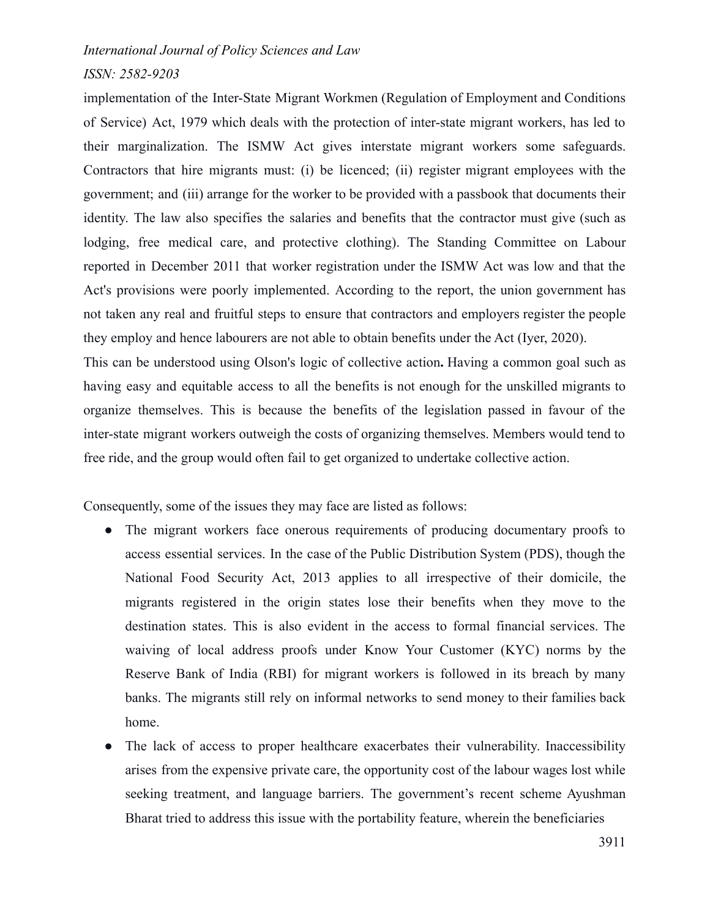## *ISSN: 2582-9203*

implementation of the Inter-State Migrant Workmen (Regulation of Employment and Conditions of Service) Act, 1979 which deals with the protection of inter-state migrant workers, has led to their marginalization. The ISMW Act gives interstate migrant workers some safeguards. Contractors that hire migrants must: (i) be licenced; (ii) register migrant employees with the government; and (iii) arrange for the worker to be provided with a passbook that documents their identity. The law also specifies the salaries and benefits that the contractor must give (such as lodging, free medical care, and protective clothing). The Standing Committee on Labour reported in December 2011 that worker registration under the ISMW Act was low and that the Act's provisions were poorly implemented. According to the report, the union government has not taken any real and fruitful steps to ensure that contractors and employers register the people they employ and hence labourers are not able to obtain benefits under the Act (Iyer, 2020).

This can be understood using Olson's logic of collective action**.** Having a common goal such as having easy and equitable access to all the benefits is not enough for the unskilled migrants to organize themselves. This is because the benefits of the legislation passed in favour of the inter-state migrant workers outweigh the costs of organizing themselves. Members would tend to free ride, and the group would often fail to get organized to undertake collective action.

Consequently, some of the issues they may face are listed as follows:

- The migrant workers face onerous requirements of producing documentary proofs to access essential services. In the case of the Public Distribution System (PDS), though the National Food Security Act, 2013 applies to all irrespective of their domicile, the migrants registered in the origin states lose their benefits when they move to the destination states. This is also evident in the access to formal financial services. The waiving of local address proofs under Know Your Customer (KYC) norms by the Reserve Bank of India (RBI) for migrant workers is followed in its breach by many banks. The migrants still rely on informal networks to send money to their families back home.
- The lack of access to proper healthcare exacerbates their vulnerability. Inaccessibility arises from the expensive private care, the opportunity cost of the labour wages lost while seeking treatment, and language barriers. The government's recent scheme Ayushman Bharat tried to address this issue with the portability feature, wherein the beneficiaries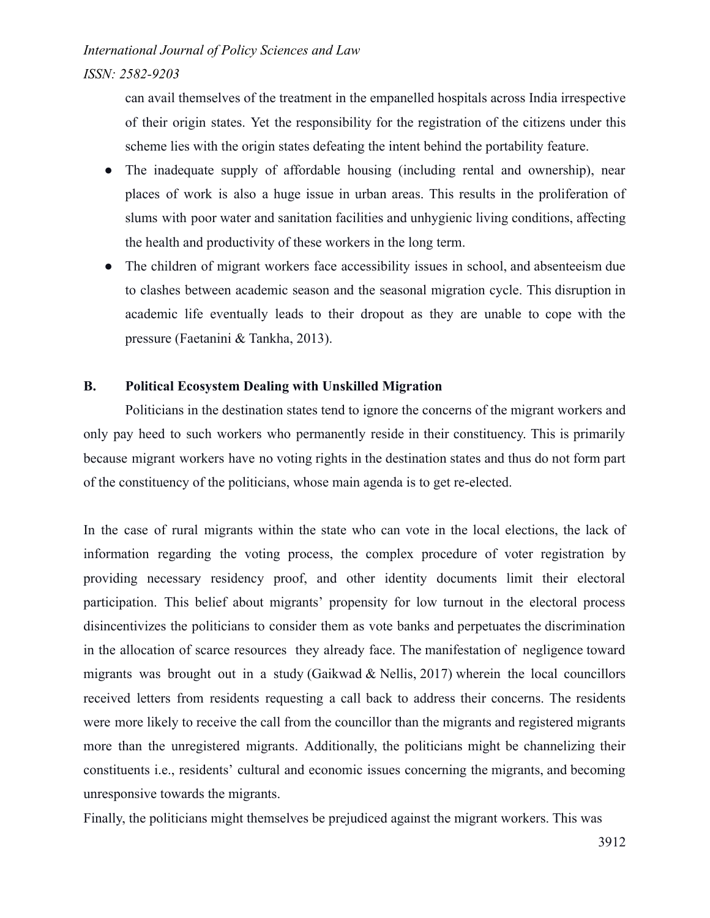*ISSN: 2582-9203*

can avail themselves of the treatment in the empanelled hospitals across India irrespective of their origin states. Yet the responsibility for the registration of the citizens under this scheme lies with the origin states defeating the intent behind the portability feature.

- The inadequate supply of affordable housing (including rental and ownership), near places of work is also a huge issue in urban areas. This results in the proliferation of slums with poor water and sanitation facilities and unhygienic living conditions, affecting the health and productivity of these workers in the long term.
- The children of migrant workers face accessibility issues in school, and absenteeism due to clashes between academic season and the seasonal migration cycle. This disruption in academic life eventually leads to their dropout as they are unable to cope with the pressure (Faetanini & Tankha, 2013).

# **B. Political Ecosystem Dealing with Unskilled Migration**

Politicians in the destination states tend to ignore the concerns of the migrant workers and only pay heed to such workers who permanently reside in their constituency. This is primarily because migrant workers have no voting rights in the destination states and thus do not form part of the constituency of the politicians, whose main agenda is to get re-elected.

In the case of rural migrants within the state who can vote in the local elections, the lack of information regarding the voting process, the complex procedure of voter registration by providing necessary residency proof, and other identity documents limit their electoral participation. This belief about migrants' propensity for low turnout in the electoral process disincentivizes the politicians to consider them as vote banks and perpetuates the discrimination in the allocation of scarce resources they already face. The manifestation of negligence toward migrants was brought out in a study (Gaikwad & Nellis, 2017) wherein the local councillors received letters from residents requesting a call back to address their concerns. The residents were more likely to receive the call from the councillor than the migrants and registered migrants more than the unregistered migrants. Additionally, the politicians might be channelizing their constituents i.e., residents' cultural and economic issues concerning the migrants, and becoming unresponsive towards the migrants.

Finally, the politicians might themselves be prejudiced against the migrant workers. This was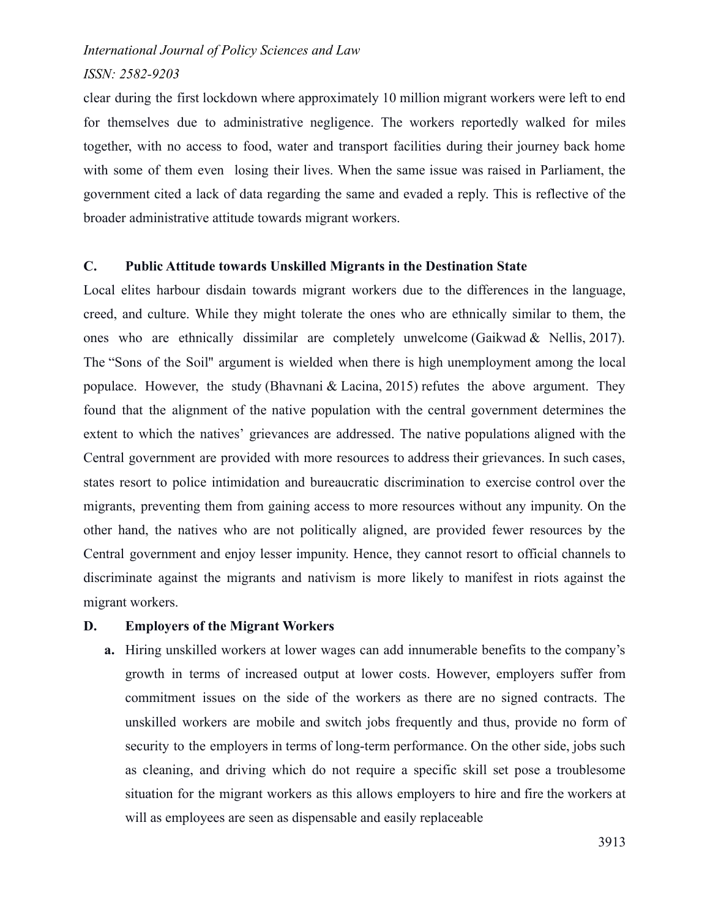#### *ISSN: 2582-9203*

clear during the first lockdown where approximately 10 million migrant workers were left to end for themselves due to administrative negligence. The workers reportedly walked for miles together, with no access to food, water and transport facilities during their journey back home with some of them even losing their lives. When the same issue was raised in Parliament, the government cited a lack of data regarding the same and evaded a reply. This is reflective of the broader administrative attitude towards migrant workers.

#### **C. Public Attitude towards Unskilled Migrants in the Destination State**

Local elites harbour disdain towards migrant workers due to the differences in the language, creed, and culture. While they might tolerate the ones who are ethnically similar to them, the ones who are ethnically dissimilar are completely unwelcome (Gaikwad & Nellis, 2017). The "Sons of the Soil'' argument is wielded when there is high unemployment among the local populace. However, the study (Bhavnani & Lacina, 2015) refutes the above argument. They found that the alignment of the native population with the central government determines the extent to which the natives' grievances are addressed. The native populations aligned with the Central government are provided with more resources to address their grievances. In such cases, states resort to police intimidation and bureaucratic discrimination to exercise control over the migrants, preventing them from gaining access to more resources without any impunity. On the other hand, the natives who are not politically aligned, are provided fewer resources by the Central government and enjoy lesser impunity. Hence, they cannot resort to official channels to discriminate against the migrants and nativism is more likely to manifest in riots against the migrant workers.

## **D. Employers of the Migrant Workers**

**a.** Hiring unskilled workers at lower wages can add innumerable benefits to the company's growth in terms of increased output at lower costs. However, employers suffer from commitment issues on the side of the workers as there are no signed contracts. The unskilled workers are mobile and switch jobs frequently and thus, provide no form of security to the employers in terms of long-term performance. On the other side, jobs such as cleaning, and driving which do not require a specific skill set pose a troublesome situation for the migrant workers as this allows employers to hire and fire the workers at will as employees are seen as dispensable and easily replaceable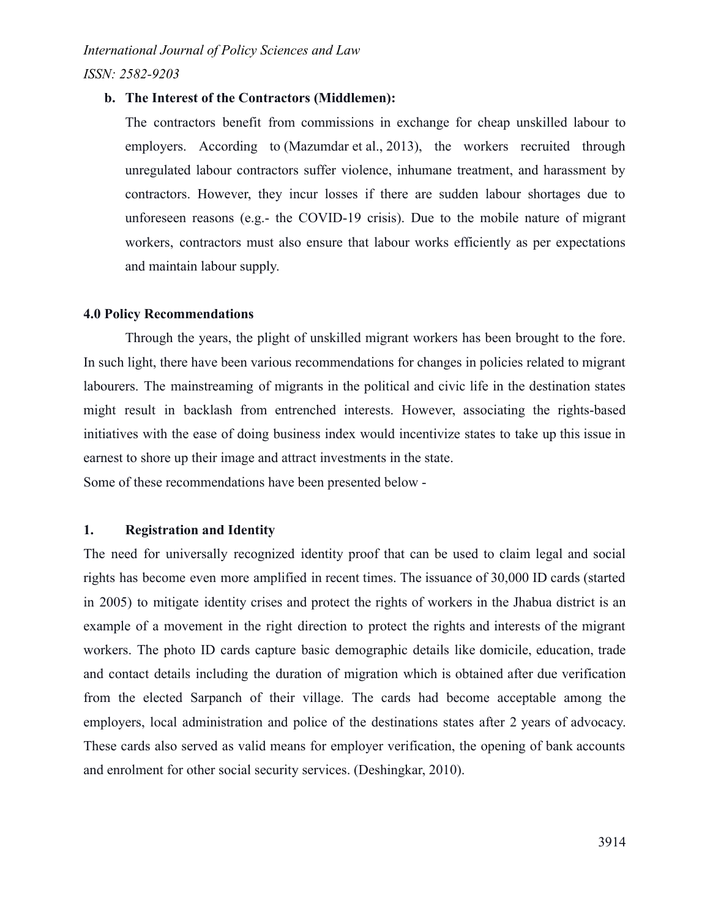*ISSN: 2582-9203*

#### **b. The Interest of the Contractors (Middlemen):**

The contractors benefit from commissions in exchange for cheap unskilled labour to employers. According to (Mazumdar et al., 2013), the workers recruited through unregulated labour contractors suffer violence, inhumane treatment, and harassment by contractors. However, they incur losses if there are sudden labour shortages due to unforeseen reasons (e.g.- the COVID-19 crisis). Due to the mobile nature of migrant workers, contractors must also ensure that labour works efficiently as per expectations and maintain labour supply.

## **4.0 Policy Recommendations**

Through the years, the plight of unskilled migrant workers has been brought to the fore. In such light, there have been various recommendations for changes in policies related to migrant labourers. The mainstreaming of migrants in the political and civic life in the destination states might result in backlash from entrenched interests. However, associating the rights-based initiatives with the ease of doing business index would incentivize states to take up this issue in earnest to shore up their image and attract investments in the state.

Some of these recommendations have been presented below -

# **1. Registration and Identity**

The need for universally recognized identity proof that can be used to claim legal and social rights has become even more amplified in recent times. The issuance of 30,000 ID cards (started in 2005) to mitigate identity crises and protect the rights of workers in the Jhabua district is an example of a movement in the right direction to protect the rights and interests of the migrant workers. The photo ID cards capture basic demographic details like domicile, education, trade and contact details including the duration of migration which is obtained after due verification from the elected Sarpanch of their village. The cards had become acceptable among the employers, local administration and police of the destinations states after 2 years of advocacy. These cards also served as valid means for employer verification, the opening of bank accounts and enrolment for other social security services. (Deshingkar, 2010).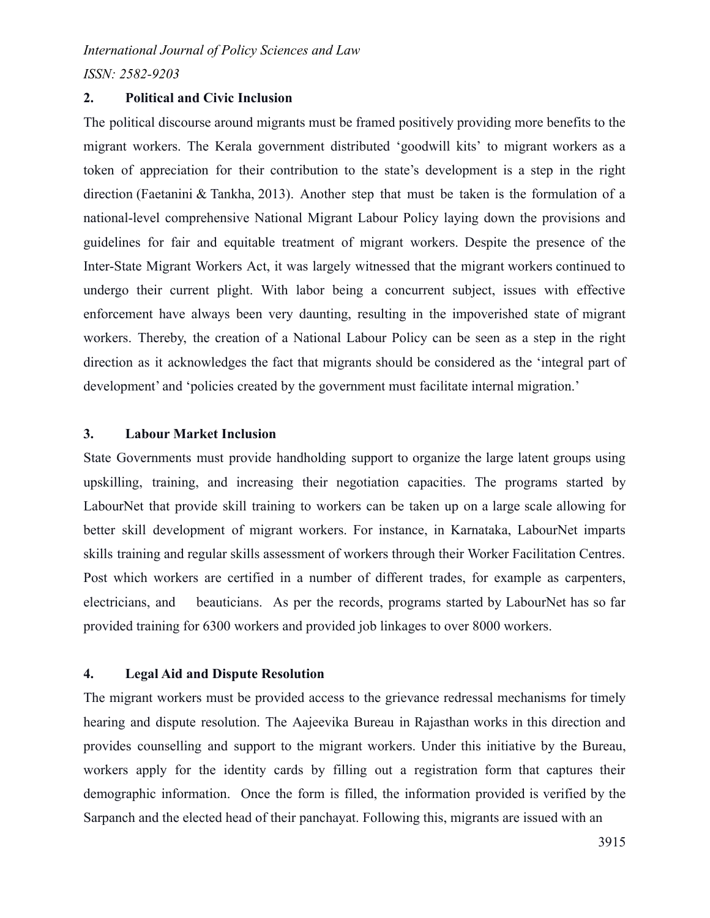*ISSN: 2582-9203*

# **2. Political and Civic Inclusion**

The political discourse around migrants must be framed positively providing more benefits to the migrant workers. The Kerala government distributed 'goodwill kits' to migrant workers as a token of appreciation for their contribution to the state's development is a step in the right direction (Faetanini & Tankha, 2013). Another step that must be taken is the formulation of a national-level comprehensive National Migrant Labour Policy laying down the provisions and guidelines for fair and equitable treatment of migrant workers. Despite the presence of the Inter-State Migrant Workers Act, it was largely witnessed that the migrant workers continued to undergo their current plight. With labor being a concurrent subject, issues with effective enforcement have always been very daunting, resulting in the impoverished state of migrant workers. Thereby, the creation of a National Labour Policy can be seen as a step in the right direction as it acknowledges the fact that migrants should be considered as the 'integral part of development' and 'policies created by the government must facilitate internal migration.'

## **3. Labour Market Inclusion**

State Governments must provide handholding support to organize the large latent groups using upskilling, training, and increasing their negotiation capacities. The programs started by LabourNet that provide skill training to workers can be taken up on a large scale allowing for better skill development of migrant workers. For instance, in Karnataka, LabourNet imparts skills training and regular skills assessment of workers through their Worker Facilitation Centres. Post which workers are certified in a number of different trades, for example as carpenters, electricians, and beauticians. As per the records, programs started by LabourNet has so far provided training for 6300 workers and provided job linkages to over 8000 workers.

# **4. Legal Aid and Dispute Resolution**

The migrant workers must be provided access to the grievance redressal mechanisms for timely hearing and dispute resolution. The Aajeevika Bureau in Rajasthan works in this direction and provides counselling and support to the migrant workers. Under this initiative by the Bureau, workers apply for the identity cards by filling out a registration form that captures their demographic information. Once the form is filled, the information provided is verified by the Sarpanch and the elected head of their panchayat. Following this, migrants are issued with an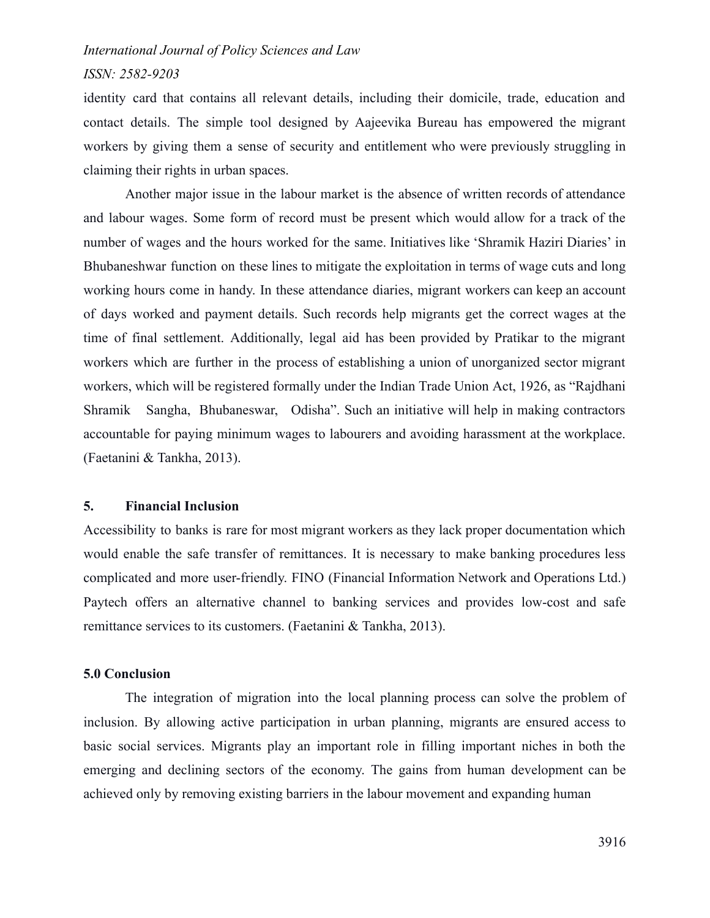# *ISSN: 2582-9203*

identity card that contains all relevant details, including their domicile, trade, education and contact details. The simple tool designed by Aajeevika Bureau has empowered the migrant workers by giving them a sense of security and entitlement who were previously struggling in claiming their rights in urban spaces.

Another major issue in the labour market is the absence of written records of attendance and labour wages. Some form of record must be present which would allow for a track of the number of wages and the hours worked for the same. Initiatives like 'Shramik Haziri Diaries' in Bhubaneshwar function on these lines to mitigate the exploitation in terms of wage cuts and long working hours come in handy. In these attendance diaries, migrant workers can keep an account of days worked and payment details. Such records help migrants get the correct wages at the time of final settlement. Additionally, legal aid has been provided by Pratikar to the migrant workers which are further in the process of establishing a union of unorganized sector migrant workers, which will be registered formally under the Indian Trade Union Act, 1926, as "Rajdhani Shramik Sangha, Bhubaneswar, Odisha". Such an initiative will help in making contractors accountable for paying minimum wages to labourers and avoiding harassment at the workplace. (Faetanini & Tankha, 2013).

#### **5. Financial Inclusion**

Accessibility to banks is rare for most migrant workers as they lack proper documentation which would enable the safe transfer of remittances. It is necessary to make banking procedures less complicated and more user-friendly. FINO (Financial Information Network and Operations Ltd.) Paytech offers an alternative channel to banking services and provides low-cost and safe remittance services to its customers. (Faetanini & Tankha, 2013).

## **5.0 Conclusion**

The integration of migration into the local planning process can solve the problem of inclusion. By allowing active participation in urban planning, migrants are ensured access to basic social services. Migrants play an important role in filling important niches in both the emerging and declining sectors of the economy. The gains from human development can be achieved only by removing existing barriers in the labour movement and expanding human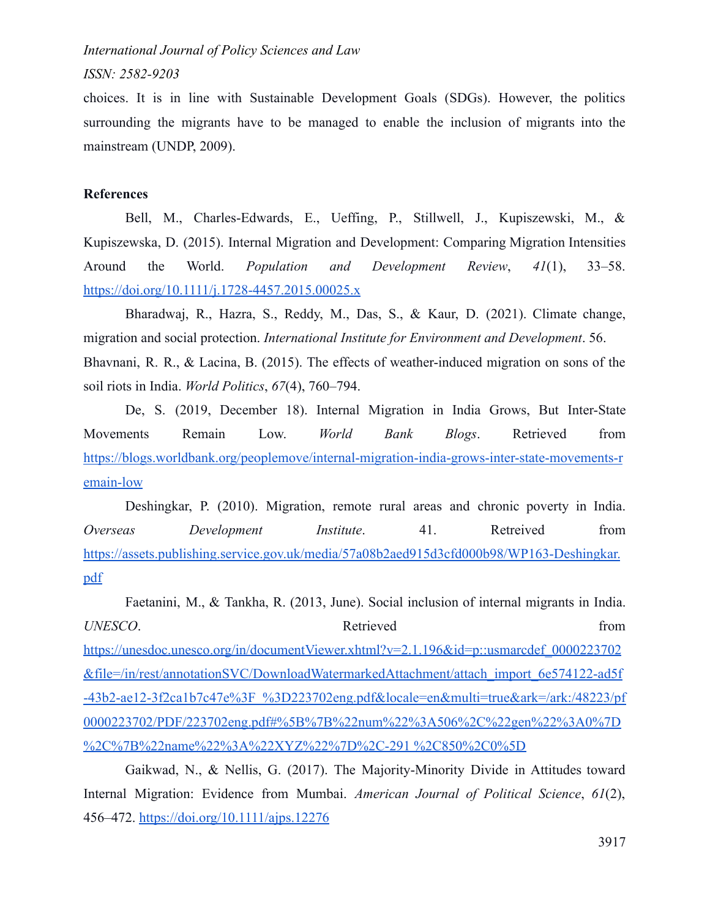*ISSN: 2582-9203*

choices. It is in line with Sustainable Development Goals (SDGs). However, the politics surrounding the migrants have to be managed to enable the inclusion of migrants into the mainstream (UNDP, 2009).

## **References**

Bell, M., [Charles-Edwards,](https://www.zotero.org/google-docs/?MaQeTg) E., Ueffing, P., Stillwell, J., Kupiszewski, M., & Kupiszewska, D. (2015). Internal Migration and [Development:](https://www.zotero.org/google-docs/?MaQeTg) Comparing Migration Intensities [Around](https://www.zotero.org/google-docs/?MaQeTg) the World. *Population and [Development](https://www.zotero.org/google-docs/?MaQeTg) Review*, *41*[\(1\),](https://www.zotero.org/google-docs/?MaQeTg) [33–58.](https://www.zotero.org/google-docs/?MaQeTg) <https://doi.org/10.1111/j.1728-4457.2015.00025.x>

[Bharadwaj,](https://www.zotero.org/google-docs/?MaQeTg) R., Hazra, S., Reddy, M., Das, S., & Kaur, D. (2021). [Climate](https://www.zotero.org/google-docs/?MaQeTg) change, migration and social protection. *International Institute [for Environment and Development](https://www.zotero.org/google-docs/?MaQeTg)*. 56. Bhavnani, R. R., & Lacina, B. (2015). The effects of [weather-induced](https://www.zotero.org/google-docs/?MaQeTg) migration on sons of the [soil riots in India.](https://www.zotero.org/google-docs/?MaQeTg) *[World](https://www.zotero.org/google-docs/?MaQeTg) [Politics](https://www.zotero.org/google-docs/?MaQeTg)*, *67*[\(4\), 760–794.](https://www.zotero.org/google-docs/?MaQeTg)

De, S. (2019, [December](https://www.zotero.org/google-docs/?MaQeTg) 18). Internal [Migration](https://www.zotero.org/google-docs/?MaQeTg) in India Grows, But [Inter-State](https://www.zotero.org/google-docs/?MaQeTg) [Movements](https://www.zotero.org/google-docs/?MaQeTg) Remain Low. *World Bank Blogs*. Retrieved from [https://blogs.worldbank.org/peoplemove/internal-migration-india-grows-inter-state-movements-r](https://blogs.worldbank.org/peoplemove/internal-migration-india-grows-inter-state-movements-remain-low) [emain-low](https://blogs.worldbank.org/peoplemove/internal-migration-india-grows-inter-state-movements-remain-low)

[Deshingkar,](https://www.zotero.org/google-docs/?MaQeTg) P. (2010). [Migration,](https://www.zotero.org/google-docs/?MaQeTg) remote rural areas and chronic [poverty](https://www.zotero.org/google-docs/?MaQeTg) in India. *Overseas [Development](https://www.zotero.org/google-docs/?MaQeTg) Institute*. 41. Retreived from [https://assets.publishing.service.gov.uk/media/57a08b2aed915d3cfd000b98/WP163-Deshingkar.](https://assets.publishing.service.gov.uk/media/57a08b2aed915d3cfd000b98/WP163-Deshingkar.pdf) [pdf](https://assets.publishing.service.gov.uk/media/57a08b2aed915d3cfd000b98/WP163-Deshingkar.pdf)

[Faetanini,](https://www.zotero.org/google-docs/?MaQeTg) M., & Tankha, R. (2013, June). Social [inclusion](https://www.zotero.org/google-docs/?MaQeTg) of internal migrants in India. *UNESCO*. **Retrieved** from [https://unesdoc.unesco.org/in/documentViewer.xhtml?v=2.1.196&id=p::usmarcdef\\_0000223702](https://unesdoc.unesco.org/in/documentViewer.xhtml?v=2.1.196&id=p::usmarcdef_0000223702&file=/in/rest/annotationSVC/DownloadWatermarkedAttachment/attach_import_6e574122-ad5f-43b2-ae12-3f2ca1b7c47e%3F_%3D223702eng.pdf&locale=en&multi=true&ark=/ark:/48223/pf0000223702/PDF/223702eng.pdf#%5B%7B%22num%22%3A506%2C%22gen%22%3A0%7D%2C%7B%22name%22%3A%22XYZ%22%7D%2C-291%20%2C850%2C0%5D%20https://www.zotero.org/google-docs/?MaQeTg) [&file=/in/rest/annotationSVC/DownloadWatermarkedAttachment/attach\\_import\\_6e574122-ad5f](https://unesdoc.unesco.org/in/documentViewer.xhtml?v=2.1.196&id=p::usmarcdef_0000223702&file=/in/rest/annotationSVC/DownloadWatermarkedAttachment/attach_import_6e574122-ad5f-43b2-ae12-3f2ca1b7c47e%3F_%3D223702eng.pdf&locale=en&multi=true&ark=/ark:/48223/pf0000223702/PDF/223702eng.pdf#%5B%7B%22num%22%3A506%2C%22gen%22%3A0%7D%2C%7B%22name%22%3A%22XYZ%22%7D%2C-291%20%2C850%2C0%5D%20https://www.zotero.org/google-docs/?MaQeTg) [-43b2-ae12-3f2ca1b7c47e%3F\\_%3D223702eng.pdf&locale=en&multi=true&ark=/ark:/48223/pf](https://unesdoc.unesco.org/in/documentViewer.xhtml?v=2.1.196&id=p::usmarcdef_0000223702&file=/in/rest/annotationSVC/DownloadWatermarkedAttachment/attach_import_6e574122-ad5f-43b2-ae12-3f2ca1b7c47e%3F_%3D223702eng.pdf&locale=en&multi=true&ark=/ark:/48223/pf0000223702/PDF/223702eng.pdf#%5B%7B%22num%22%3A506%2C%22gen%22%3A0%7D%2C%7B%22name%22%3A%22XYZ%22%7D%2C-291%20%2C850%2C0%5D%20https://www.zotero.org/google-docs/?MaQeTg) [0000223702/PDF/223702eng.pdf#%5B%7B%22num%22%3A506%2C%22gen%22%3A0%7D](https://unesdoc.unesco.org/in/documentViewer.xhtml?v=2.1.196&id=p::usmarcdef_0000223702&file=/in/rest/annotationSVC/DownloadWatermarkedAttachment/attach_import_6e574122-ad5f-43b2-ae12-3f2ca1b7c47e%3F_%3D223702eng.pdf&locale=en&multi=true&ark=/ark:/48223/pf0000223702/PDF/223702eng.pdf#%5B%7B%22num%22%3A506%2C%22gen%22%3A0%7D%2C%7B%22name%22%3A%22XYZ%22%7D%2C-291%20%2C850%2C0%5D%20https://www.zotero.org/google-docs/?MaQeTg) [%2C%7B%22name%22%3A%22XYZ%22%7D%2C-291 %2C850%2C0%5D](https://unesdoc.unesco.org/in/documentViewer.xhtml?v=2.1.196&id=p::usmarcdef_0000223702&file=/in/rest/annotationSVC/DownloadWatermarkedAttachment/attach_import_6e574122-ad5f-43b2-ae12-3f2ca1b7c47e%3F_%3D223702eng.pdf&locale=en&multi=true&ark=/ark:/48223/pf0000223702/PDF/223702eng.pdf#%5B%7B%22num%22%3A506%2C%22gen%22%3A0%7D%2C%7B%22name%22%3A%22XYZ%22%7D%2C-291%20%2C850%2C0%5D%20https://www.zotero.org/google-docs/?MaQeTg)

[Gaikwad,](https://www.zotero.org/google-docs/?MaQeTg) N., & Nellis, G. (2017). The Majority-Minority Divide in Attitudes toward Internal Migration: Evidence from Mumbai. *[American](https://www.zotero.org/google-docs/?MaQeTg) Journal of [Political](https://www.zotero.org/google-docs/?MaQeTg) Science*, *61*[\(2\),](https://www.zotero.org/google-docs/?MaQeTg) [456–472.](https://www.zotero.org/google-docs/?MaQeTg) <https://doi.org/10.1111/ajps.12276>